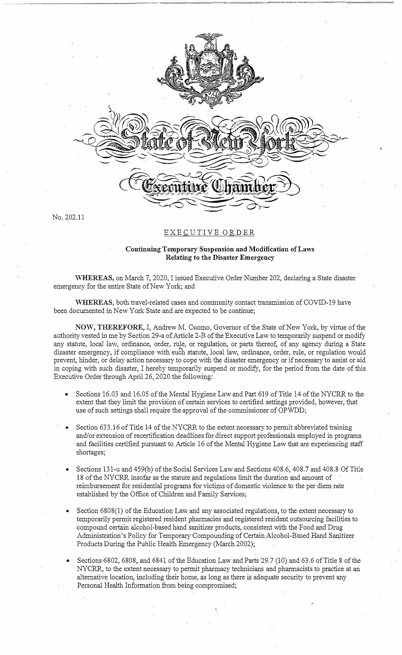

 $\mathcal{P}$  . The set of  $\mathcal{P}$  is a set of  $\mathcal{P}$  . It is a set of  $\mathcal{P}$  is a set of  $\mathcal{P}$  is a set of  $\mathcal{P}$  is a set of  $\mathcal{P}$  is a set of  $\mathcal{P}$  is a set of  $\mathcal{P}$  is a set of  $\mathcal{P}$  is a set of  $\mathcal{$ 

,

No. 202.11

## EXECUTIVE ORDER

## **Continuing Temporary Suspension and Modification of Laws Relating to the Disaster Emergency**

**WHEREAS,** on March 7, 2020, I issued Executive Order Number 202, declaring a State disaster emergency for the entire State of New York; and

WHEREAS, both travel-related cases and community contact transmission of COVID-19 have been documented in New York State and are expected to be continue;

**NOW, THEREFORE,** I, Andrew M. Cuomo, Governor of the State of New York, by virtue of the authority vested in me by Section 29-a of Article 2-B of the Executive Law to temporarily suspend or modify any statute, local law, ordinance, order, rule, or regulation, or parts thereof, of any agency during a State disaster emergency, if compliance with such statute, local law, ordinance, order, rule, or regulation would prevent, hinder, or delay action necessary to cope with the disaster emergency or if necessary to assist or aid .in coping with such disaster, I hereby temporarily suspend or modify, for the period from the date of this Executive Order through April 26, 2020 the following:

- Sections 16.03 and 16.05 of the Mental Hygiene Law and Part 619 of Title 14 of the NYCRR to the extent that they limit the provision of certain services to certified settings provided, however, that use of such settings shall require the approval of the commissioner of OPWDD;
- Section 633.16 of Title 14 of the NYCRR to the extent necessary to permit abbreviated training and/or extension of recertification deadlines for direct support professionals employed in programs and facilities certified pursuant to Article 16 of the Mental Hygiene Law that are experiencing staff shortages;
- Sections 131-u and 459(b) of the Social Services Law and Sections 408.6, 408.7 and 408.8 Of Title 18 of the NYCRR insofar as the statute and regulations limit the duration and amount of reimbursement for residential programs for victims of domestic violence to the per diem rate established by the Office of Children and Family Services;
- Section 6808(1) of the Education Law and any associated regulations, to the extent necessary to temporarily permit registered resident pharmacies and registered resident outsourcing facilities to compound certain alcohol-based hand sanitizer products, consistent with the Food and Drug Administration's Policy for Temporary Compounding of Certain Alcohol-Based Hand Sanitizer Products During the Public Health Emergency (March 2002);
- Sections·6802, 6808, and 6841 of the Education Law and Parts 29.7 (10) and 63.6 of Title 8 of the NYCRR, to the extent necessary to permit pharmacy technicians and pharmacists to practice at an alternative location, including their home, as long as there is adequate security to prevent any Personal Health Information from being compromised;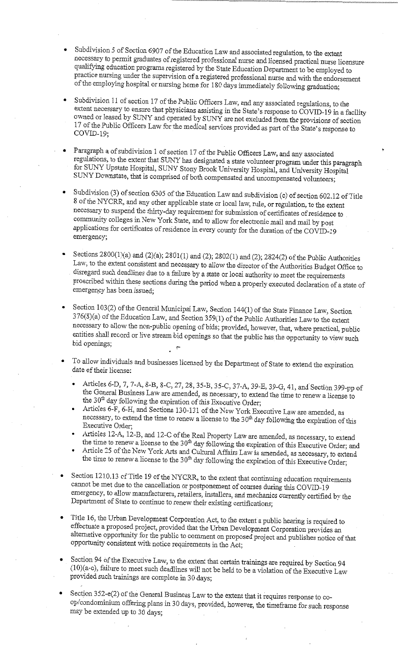- Subdivision 5 of Section 6907 of the Education Law and associated regulation, to the extent necessary to permit graduates of registered professional nurse and licensed practical nurse licensure qualifying education programs registered by the State Education Department to be employed to practice nursing under the supervision of a registered professional nurse and with the endorsement of the employing hospital or nursing home for 180 days immediately following graduation;
- Subdivision 11 of section 17 of the Public Officers Law, and any associated regulations, to the extent necessary to ensure that physicians assisting in the State's response to COVID-19 in a facility owned or leased by SUNY and operated by SUNY are not excluded from the provisions of section 17 of the Public Officers Law for the medical services provided as part of the State's response to  $COVID-19;$
- Paragraph a of subdivision 1 of section 17 of the Public Officers Law, and any associated regulations, to the extent that SUNY has designated a state volunteer program under this paragraph for SUNY Upstate Hospital, SUNY Stony Brook University Hospital, and University Hospital SUNY Downstate, that is comprised of both compensated and uncompensated volunteers;
- Subdivision (3) of section 6305 of the Education Law and subdivision (c) of section 602.12 of Title 8 of the NYCRR, and any other applicable state or local law, rule, or regulation, to the extent necessary to suspend the thirty-day requirement for submission of certificates of residence to community colleges in New York State, and to allow for electronic mail and mail by post applications for certificates of residence in every county for the duration of the COVID-19 emergency;
- Sections 2800(1)(a) and (2)(a); 2801(1) and (2); 2802(1) and (2); 2824(2) of the Public Authorities Law, to the extent consistent and necessary to allow the director of the Authorities Budget Office to disregard such deadlines due to a failure by a state or local authority to meet the requirements proscribed within these sections during the period when a properly executed declaration of a state of emergency has been issued;
- Section 103(2) of the General Municipal Law, Section 144(1) of the State Finance Law, Section 376(8)(a) of the Education Law, and Section 359(1) of the Public Authorities Law to the extent necessary to allow the non-public opening of bids; provided, however, that, where practical, public entities shall record or live stream bid openings so that the public has the opportunity to view such bid openings;
- To allow individuals and businesses licensed by the Department of State to extend the expiration date of their license:
	- Articles 6-D, 7, 7-A, 8-B, 8-C, 27, 28, 35-B, 35-C, 37-A, 39-E, 39-G, 41, and Section 399-pp of the General Business Law are amended, as necessary, to extend the time to renew a license to the 30<sup>th</sup> day following the expiration of this Executive Order;
	- Articles 6-F, 6-H, and Sections 130-131 of the New York Executive Law are amended, as necessary, to extend the time to renew a license to the 30<sup>th</sup> day following the expiration of this Executive Order;
	- Articles 12-A, 12-B, and 12-C of the Real Property Law are amended, as necessary, to extend the time to renew a license to the 30<sup>th</sup> day following the expiration of this Executive Order; and
	- Article 25 of the New York Arts and Cultural Affairs Law is amended, as necessary, to extend the time to renew a license to the 30<sup>th</sup> day following the expiration of this Executive Order;
- Section 1210.13 of Title 19 of the NYCRR, to the extent that continuing education requirements cannot be met due to the cancellation or postponement of courses during this COVID-19 emergency, to allow manufacturers, retailers, installers, and mechanics currently certified by the Department of State to continue to renew their existing certifications;
- Title 16, the Urban Development Corporation Act, to the extent a public hearing is required to effectuate a proposed project, provided that the Urban Development Corporation provides an alternative opportunity for the public to comment on proposed project and publishes notice of that opportunity consistent with notice requirements in the Act;
- Section 94 of the Executive Law, to the extent that certain trainings are required by Section 94 (10)(a-c), failure to meet such deadlines will not be held to be a violation of the Executive Law provided such trainings are complete in 30 days;
- Section 352-e(2) of the General Business Law to the extent that it requires response to coop/condominium offering plans in 30 days, provided, however, the timeframe for such response may be extended up to 30 days;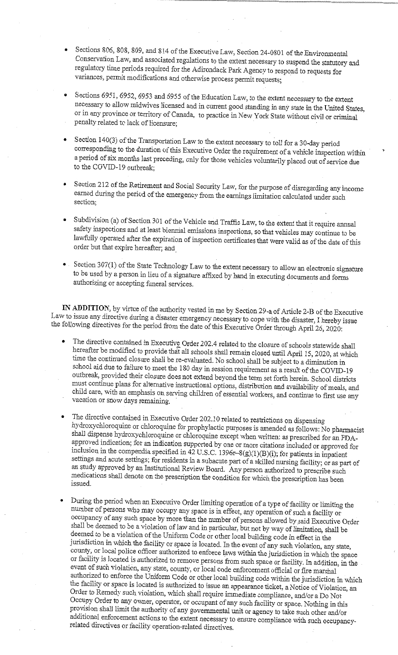- Sections 806, 808, 809, and 814 of the Executive Law, Section 24-0801 of the Environmental Conservation Law, and associated regulations to the extent necessary to suspend the statutory and regulatory time periods required for the Adirondack Park Agency to respond to requests for variances, permit modifications and otherwise process permit requests;
- Sections 6951, 6952, 6953 and 6955 of the Education Law, to the extent necessary to the extent necessary to allow midwives licensed and in current good standing in any state in the United States, or in any province or territory of Canada, to practice in New York State without civil or criminal penalty related to lack of licensure;
- Section 140(3) of the Transportation Law to the extent necessary to toll for a 30-day period corresponding to the duration of this Executive Order the requirement of a vehicle inspection within a period of six months last preceding, only for those vehicles voluntarily placed out of service due to the COVID-19 outbreak;
- Section 212 of the Retirement and Social Security Law, for the purpose of disregarding any income earned during the period of the emergency from the earnings limitation calculated under such section;
- Subdivision (a) of Section 301 of the Vehicle and Traffic Law, to the extent that it require annual safety inspections and at least biennial emissions inspections, so that vehicles may continue to be lawfully operated after the expiration of inspection certificates that were valid as of the date of this order but that expire hereafter; and
- Section 307(1) of the State Technology Law to the extent necessary to allow an electronic signature to be used by a person in lieu of a signature affixed by hand in executing documents and forms authorizing or accepting funeral services.

IN ADDITION, by virtue of the authority vested in me by Section 29-a of Article 2-B of the Executive Law to issue any directive during a disaster emergency necessary to cope with the disaster, I hereby issue the following directives for the period from the date of this Executive Order through April 26, 2020:

- The directive contained in Executive Order 202.4 related to the closure of schools statewide shall hereafter be modified to provide that all schools shall remain closed until April 15, 2020, at which time the continued closure shall be re-evaluated. No school shall be subject to a diminution in school aid due to failure to meet the 180 day in session requirement as a result of the COVID-19 outbreak, provided their closure does not extend beyond the term set forth herein. School districts must continue plans for alternative instructional options, distribution and availability of meals, and child care, with an emphasis on serving children of essential workers, and continue to first use any vacation or snow days remaining.
- The directive contained in Executive Order 202.10 related to restrictions on dispensing hydroxychloroquine or chloroquine for prophylactic purposes is amended as follows: No pharmacist shall dispense hydroxychloroquine or chloroquine except when written: as prescribed for an FDAapproved indication; for an indication supported by one or more citations included or approved for inclusion in the compendia specified in  $42$  U.S.C. 1396r-8(g)(1)(B)(i); for patients in inpatient settings and acute settings; for residents in a subacute part of a skilled nursing facility; or as part of an study approved by an Institutional Review Board. Any person authorized to prescribe such medications shall denote on the prescription the condition for which the prescription has been issued.
- During the period when an Executive Order limiting operation of a type of facility or limiting the number of persons who may occupy any space is in effect, any operation of such a facility or occupancy of any such space by more than the number of persons allowed by said Executive Order shall be deemed to be a violation of law and in particular, but not by way of limitation, shall be deemed to be a violation of the Uniform Code or other local building code in effect in the jurisdiction in which the facility or space is located. In the event of any such violation, any state, county, or local police officer authorized to enforce laws within the jurisdiction in which the space or facility is located is authorized to remove persons from such space or facility. In addition, in the event of such violation, any state, county, or local code enforcement official or fire marshal authorized to enforce the Uniform Code or other local building code within the jurisdiction in which the facility or space is located is authorized to issue an appearance ticket, a Notice of Violation, an Order to Remedy such violation, which shall require immediate compliance, and/or a Do Not Occupy Order to any owner, operator, or occupant of any such facility or space. Nothing in this provision shall limit the authority of any governmental unit or agency to take such other and/or additional enforcement actions to the extent necessary to ensure compliance with such occupancyrelated directives or facility operation-related directives.